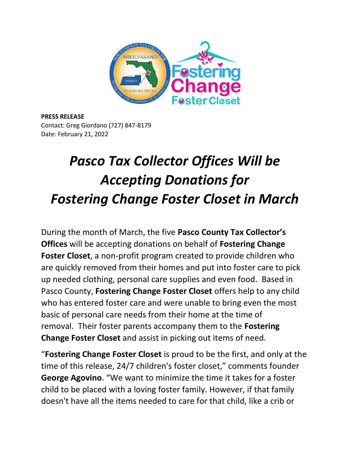

**PRESS RELEASE** Contact: Greg Giordano (727) 847-8179 Date: February 21, 2022

## *Pasco Tax Collector Offices Will be Accepting Donations for Fostering Change Foster Closet in March*

During the month of March, the five **Pasco County Tax Collector's Offices** will be accepting donations on behalf of **Fostering Change Foster Closet**, a non-profit program created to provide children who are quickly removed from their homes and put into foster care to pick up needed clothing, personal care supplies and even food. Based in Pasco County, **Fostering Change Foster Closet** offers help to any child who has entered foster care and were unable to bring even the most basic of personal care needs from their home at the time of removal. Their foster parents accompany them to the **Fostering Change Foster Closet** and assist in picking out items of need.

"**Fostering Change Foster Closet** is proud to be the first, and only at the time of this release, 24/7 children's foster closet," comments founder **George Agovino**. "We want to minimize the time it takes for a foster child to be placed with a loving foster family. However, if that family doesn't have all the items needed to care for that child, like a crib or